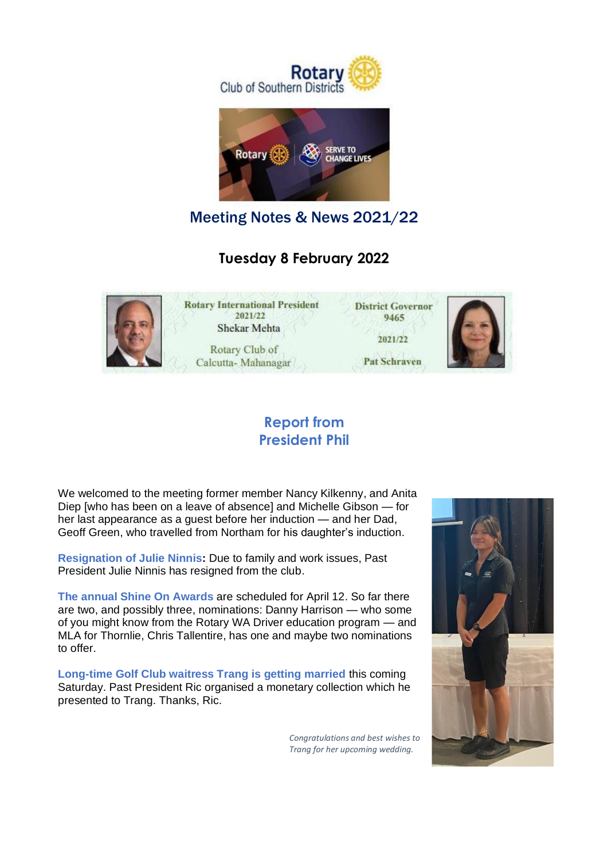



Meeting Notes & News 2021/22

## **Tuesday 8 February 2022**



### **Report from President Phil**

We welcomed to the meeting former member Nancy Kilkenny, and Anita Diep [who has been on a leave of absence] and Michelle Gibson — for her last appearance as a guest before her induction — and her Dad, Geoff Green, who travelled from Northam for his daughter's induction.

**Resignation of Julie Ninnis:** Due to family and work issues, Past President Julie Ninnis has resigned from the club.

**The annual Shine On Awards** are scheduled for April 12. So far there are two, and possibly three, nominations: Danny Harrison — who some of you might know from the Rotary WA Driver education program — and MLA for Thornlie, Chris Tallentire, has one and maybe two nominations to offer.

**Long-time Golf Club waitress Trang is getting married** this coming Saturday. Past President Ric organised a monetary collection which he presented to Trang. Thanks, Ric.

> *Congratulations and best wishes to Trang for her upcoming wedding.*

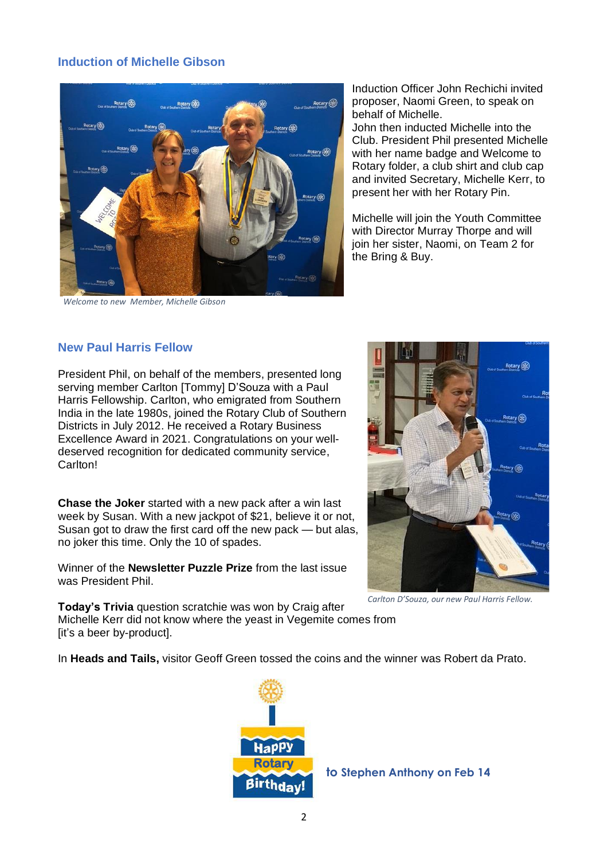### **Induction of Michelle Gibson**



*Welcome to new Member, Michelle Gibson*

Induction Officer John Rechichi invited proposer, Naomi Green, to speak on behalf of Michelle.

John then inducted Michelle into the Club. President Phil presented Michelle with her name badge and Welcome to Rotary folder, a club shirt and club cap and invited Secretary, Michelle Kerr, to present her with her Rotary Pin.

Michelle will join the Youth Committee with Director Murray Thorpe and will join her sister, Naomi, on Team 2 for the Bring & Buy.

#### **New Paul Harris Fellow**

President Phil, on behalf of the members, presented long serving member Carlton [Tommy] D'Souza with a Paul Harris Fellowship. Carlton, who emigrated from Southern India in the late 1980s, joined the Rotary Club of Southern Districts in July 2012. He received a Rotary Business Excellence Award in 2021. Congratulations on your welldeserved recognition for dedicated community service, Carlton!

**Chase the Joker** started with a new pack after a win last week by Susan. With a new jackpot of \$21, believe it or not, Susan got to draw the first card off the new pack — but alas, no joker this time. Only the 10 of spades.

Winner of the **Newsletter Puzzle Prize** from the last issue was President Phil.



*Carlton D'Souza, our new Paul Harris Fellow.*

**Today's Trivia** question scratchie was won by Craig after Michelle Kerr did not know where the yeast in Vegemite comes from [it's a beer by-product].

In **Heads and Tails,** visitor Geoff Green tossed the coins and the winner was Robert da Prato.

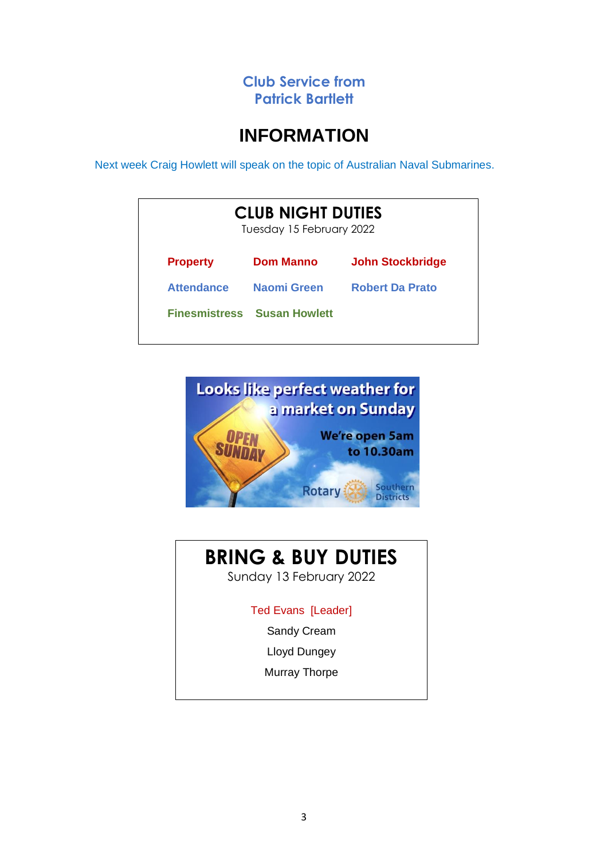### **Club Service from Patrick Bartlett**

# **INFORMATION**

Next week Craig Howlett will speak on the topic of Australian Naval Submarines.

| <b>CLUB NIGHT DUTIES</b><br>Tuesday 15 February 2022 |                                    |                         |  |
|------------------------------------------------------|------------------------------------|-------------------------|--|
| <b>Property</b>                                      | <b>Dom Manno</b>                   | <b>John Stockbridge</b> |  |
| <b>Attendance</b>                                    | Naomi Green                        | <b>Robert Da Prato</b>  |  |
|                                                      | <b>Finesmistress Susan Howlett</b> |                         |  |



# **BRING & BUY DUTIES**

Sunday 13 February 2022

Ted Evans [Leader]

Sandy Cream

Lloyd Dungey

Murray Thorpe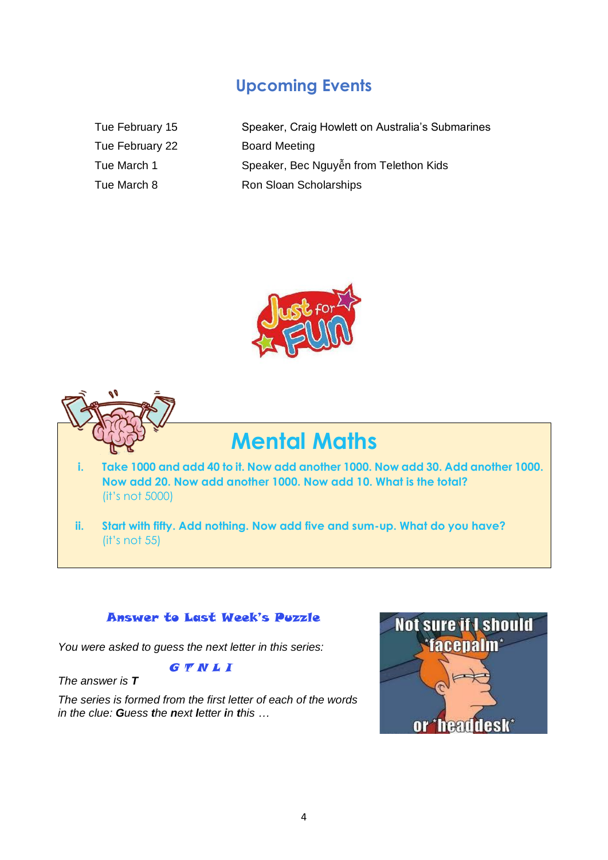## **Upcoming Events**

Tue February 15 Tue February 22 Tue March 1 Tue March 8

| Speaker, Craig Howlett on Australia's Submarines |
|--------------------------------------------------|
| <b>Board Meeting</b>                             |
| Speaker, Bec Nguyễn from Telethon Kids           |
| Ron Sloan Scholarships                           |





# **Mental Maths**

- **i. Take 1000 and add 40 to it. Now add another 1000. Now add 30. Add another 1000. Now add 20. Now add another 1000. Now add 10. What is the total?**  (it's not 5000)
- **ii. Start with fifty. Add nothing. Now add five and sum-up. What do you have?** (it's not 55)

### Answer to Last Week's Puzzle

*You were asked to guess the next letter in this series:*

**G TNLI** 

*The answer is T*

*The series is formed from the first letter of each of the words in the clue: Guess the next letter in this …*

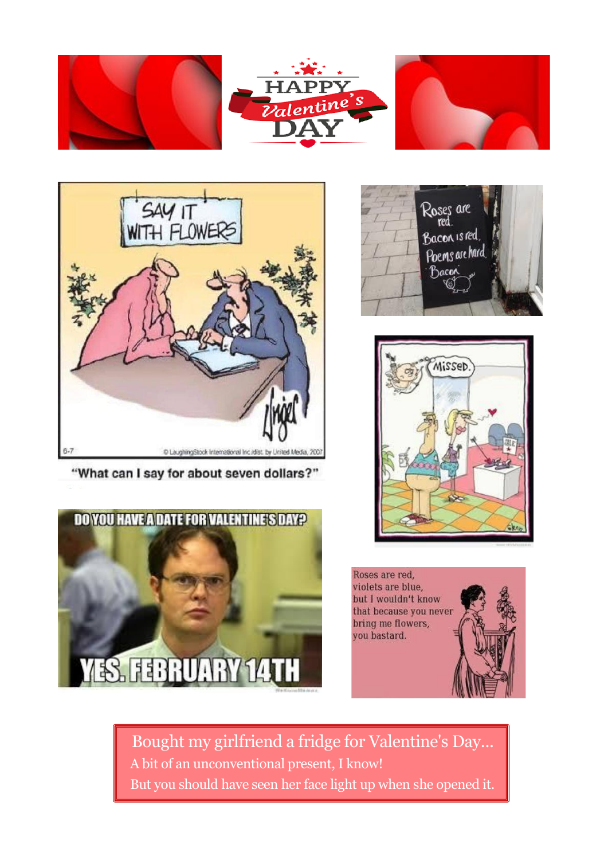



"What can I say for about seven dollars?"









 Bought my girlfriend a fridge for Valentine's Day... A bit of an unconventional present, I know! But you should have seen her face light up when she opened it.